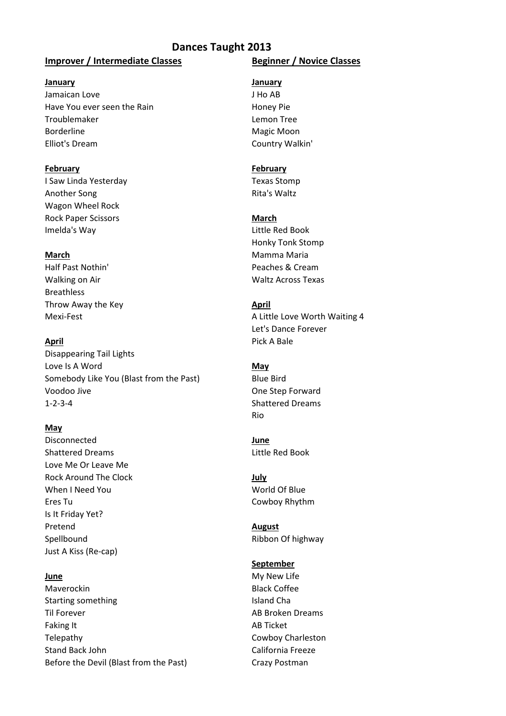# **Dances Taught 2013**

# **Improver / Intermediate Classes Beginner / Novice Classes**

### **January January**

Jamaican Love JHo AB Have You ever seen the Rain Honey Pie Troublemaker Lemon Tree Borderline Magic Moon Elliot's Dream Country Walkin'

### **February February**

I Saw Linda Yesterday Texas Stomp Another Song **Rita's Waltz** Wagon Wheel Rock Rock Paper Scissors **March** Imelda's Way **Little Red Book** 

Half Past Nothin' Peaches & Cream Walking on Air Waltz Across Texas Breathless Throw Away the Key **April April April April** 

Disappearing Tail Lights Love Is A Word **May** Somebody Like You (Blast from the Past) Blue Bird Voodoo Jive **One Step Forward** 1-2-3-4 Shattered Dreams

### **May**

Disconnected **June** Shattered Dreams and Little Red Book Love Me Or Leave Me Rock Around The Clock **July July** When I Need You North States and World Of Blue Eres Tu Cowboy Rhythm Is It Friday Yet? Pretend **August** Spellbound **Ribbon Of highway** Just A Kiss (Re-cap)

Maverockin **Black Coffee** Starting something Island Cha Til Forever **AB Broken Dreams** Faking It AB Ticket Telepathy Cowboy Charleston Stand Back John California Freeze Before the Devil (Blast from the Past) Crazy Postman

Honky Tonk Stomp **March** Mamma Maria

Mexi-Fest **A Little Love Worth Waiting 4** Let's Dance Forever **April** Pick A Bale

Rio

### **September**

**June** My New Life